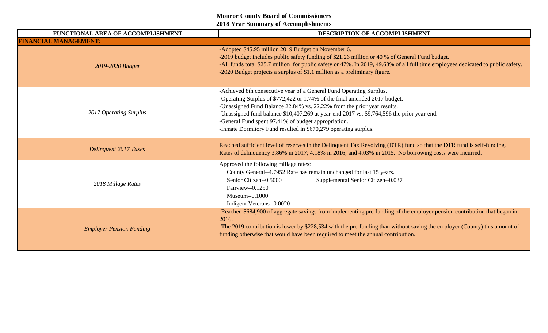| FUNCTIONAL AREA OF ACCOMPLISHMENT | DESCRIPTION OF ACCOMPLISHMENT                                                                                                                                                                                                                                                                                                                                                                                                                        |
|-----------------------------------|------------------------------------------------------------------------------------------------------------------------------------------------------------------------------------------------------------------------------------------------------------------------------------------------------------------------------------------------------------------------------------------------------------------------------------------------------|
| <b>FINANCIAL MANAGEMENT:</b>      |                                                                                                                                                                                                                                                                                                                                                                                                                                                      |
| 2019-2020 Budget                  | -Adopted \$45.95 million 2019 Budget on November 6.<br>-2019 budget includes public safety funding of \$21.26 million or 40 % of General Fund budget.<br>-All funds total \$25.7 million for public safety or 47%. In 2019, 49.68% of all full time employees dedicated to public safety.<br>-2020 Budget projects a surplus of \$1.1 million as a preliminary figure.                                                                               |
| 2017 Operating Surplus            | -Achieved 8th consecutive year of a General Fund Operating Surplus.<br>-Operating Surplus of \$772,422 or 1.74% of the final amended 2017 budget.<br>-Unassigned Fund Balance 22.84% vs. 22.22% from the prior year results.<br>-Unassigned fund balance \$10,407,269 at year-end 2017 vs. \$9,764,596 the prior year-end.<br>-General Fund spent 97.41% of budget appropriation.<br>-Inmate Dormitory Fund resulted in \$670,279 operating surplus. |
| <b>Delinquent 2017 Taxes</b>      | Reached sufficient level of reserves in the Delinquent Tax Revolving (DTR) fund so that the DTR fund is self-funding.<br>Rates of delinquency 3.86% in 2017; 4.18% in 2016; and 4.03% in 2015. No borrowing costs were incurred.                                                                                                                                                                                                                     |
| 2018 Millage Rates                | Approved the following millage rates:<br>County General--4.7952 Rate has remain unchanged for last 15 years.<br>Senior Citizen--0.5000<br>Supplemental Senior Citizen--0.037<br>Fairview--0.1250<br>Museum--0.1000<br>Indigent Veterans--0.0020                                                                                                                                                                                                      |
| <b>Employer Pension Funding</b>   | -Reached \$684,900 of aggregate savings from implementing pre-funding of the employer pension contribution that began in<br>2016.<br>-The 2019 contribution is lower by \$228,534 with the pre-funding than without saving the employer (County) this amount of<br>funding otherwise that would have been required to meet the annual contribution.                                                                                                  |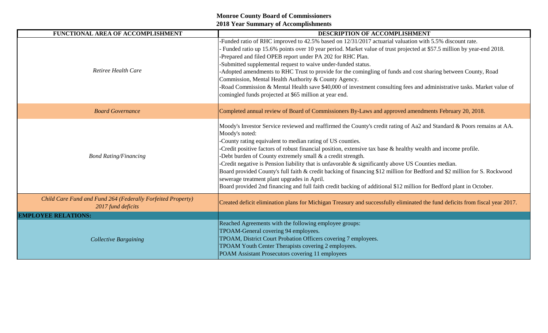| FUNCTIONAL AREA OF ACCOMPLISHMENT                                                 | <b>DESCRIPTION OF ACCOMPLISHMENT</b>                                                                                                                                                                                                                                                                                                                                                                                                                                                                                                                                                                                                                                                                                                                                                                   |
|-----------------------------------------------------------------------------------|--------------------------------------------------------------------------------------------------------------------------------------------------------------------------------------------------------------------------------------------------------------------------------------------------------------------------------------------------------------------------------------------------------------------------------------------------------------------------------------------------------------------------------------------------------------------------------------------------------------------------------------------------------------------------------------------------------------------------------------------------------------------------------------------------------|
| Retiree Health Care                                                               | -Funded ratio of RHC improved to 42.5% based on 12/31/2017 actuarial valuation with 5.5% discount rate.<br>Funded ratio up 15.6% points over 10 year period. Market value of trust projected at \$57.5 million by year-end 2018.<br>-Prepared and filed OPEB report under PA 202 for RHC Plan.<br>-Submitted supplemental request to waive under-funded status.<br>-Adopted amendments to RHC Trust to provide for the comingling of funds and cost sharing between County, Road<br>Commission, Mental Health Authority & County Agency.<br>-Road Commission & Mental Health save \$40,000 of investment consulting fees and administrative tasks. Market value of<br>comingled funds projected at \$65 million at year end.                                                                           |
| <b>Board Governance</b>                                                           | Completed annual review of Board of Commissioners By-Laws and approved amendments February 20, 2018.                                                                                                                                                                                                                                                                                                                                                                                                                                                                                                                                                                                                                                                                                                   |
| <b>Bond Rating/Financing</b>                                                      | Moody's Investor Service reviewed and reaffirmed the County's credit rating of Aa2 and Standard & Poors remains at AA.<br>Moody's noted:<br>-County rating equivalent to median rating of US counties.<br>-Credit positive factors of robust financial position, extensive tax base & healthy wealth and income profile.<br>-Debt burden of County extremely small $&$ a credit strength.<br>-Credit negative is Pension liability that is unfavorable $\&$ significantly above US Counties median.<br>Board provided County's full faith & credit backing of financing \$12 million for Bedford and \$2 million for S. Rockwood<br>sewerage treatment plant upgrades in April.<br>Board provided 2nd financing and full faith credit backing of additional \$12 million for Bedford plant in October. |
| Child Care Fund and Fund 264 (Federally Forfeited Property)<br>2017 fund deficits | Created deficit elimination plans for Michigan Treasury and successfully eliminated the fund deficits from fiscal year 2017.                                                                                                                                                                                                                                                                                                                                                                                                                                                                                                                                                                                                                                                                           |
| <b>EMPLOYEE RELATIONS:</b>                                                        |                                                                                                                                                                                                                                                                                                                                                                                                                                                                                                                                                                                                                                                                                                                                                                                                        |
| <b>Collective Bargaining</b>                                                      | Reached Agreements with the following employee groups:<br>TPOAM-General covering 94 employees.<br>TPOAM, District Court Probation Officers covering 7 employees.<br>TPOAM Youth Center Therapists covering 2 employees.<br>POAM Assistant Prosecutors covering 11 employees                                                                                                                                                                                                                                                                                                                                                                                                                                                                                                                            |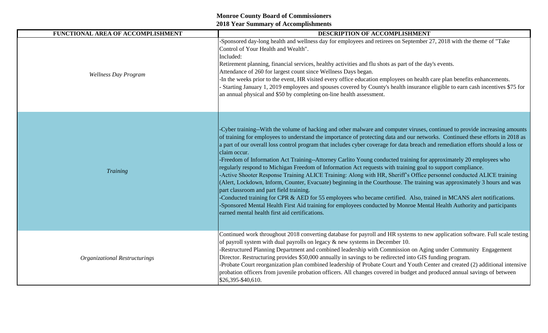| FUNCTIONAL AREA OF ACCOMPLISHMENT    | DESCRIPTION OF ACCOMPLISHMENT                                                                                                                                                                                                                                                                                                                                                                                                                                                                                                                                                                                                                                                                                                                                                                                                                                                                                                                                                                                                                                                                                                                                                                                                                            |
|--------------------------------------|----------------------------------------------------------------------------------------------------------------------------------------------------------------------------------------------------------------------------------------------------------------------------------------------------------------------------------------------------------------------------------------------------------------------------------------------------------------------------------------------------------------------------------------------------------------------------------------------------------------------------------------------------------------------------------------------------------------------------------------------------------------------------------------------------------------------------------------------------------------------------------------------------------------------------------------------------------------------------------------------------------------------------------------------------------------------------------------------------------------------------------------------------------------------------------------------------------------------------------------------------------|
| <b>Wellness Day Program</b>          | -Sponsored day-long health and wellness day for employees and retirees on September 27, 2018 with the theme of "Take<br>Control of Your Health and Wealth".<br>Included:<br>Retirement planning, financial services, healthy activities and flu shots as part of the day's events.<br>Attendance of 260 for largest count since Wellness Days began.<br>In the weeks prior to the event, HR visited every office education employees on health care plan benefits enhancements.<br>Starting January 1, 2019 employees and spouses covered by County's health insurance eligible to earn cash incentives \$75 for<br>an annual physical and \$50 by completing on-line health assessment.                                                                                                                                                                                                                                                                                                                                                                                                                                                                                                                                                                 |
| Training                             | Cyber training--With the volume of hacking and other malware and computer viruses, continued to provide increasing amounts<br>of training for employees to understand the importance of protecting data and our networks. Continued these efforts in 2018 as<br>a part of our overall loss control program that includes cyber coverage for data breach and remediation efforts should a loss or<br>claim occur.<br>-Freedom of Information Act Training--Attorney Carlito Young conducted training for approximately 20 employees who<br>regularly respond to Michigan Freedom of Information Act requests with training goal to support compliance.<br>-Active Shooter Response Training ALICE Training: Along with HR, Sheriff's Office personnel conducted ALICE training<br>(Alert, Lockdown, Inform, Counter, Evacuate) beginning in the Courthouse. The training was approximately 3 hours and was<br>part classroom and part field training.<br>-Conducted training for CPR & AED for 55 employees who became certified. Also, trained in MCANS alert notifications.<br>-Sponsored Mental Health First Aid training for employees conducted by Monroe Mental Health Authority and participants<br>earned mental health first aid certifications. |
| <b>Organizational Restructurings</b> | Continued work throughout 2018 converting database for payroll and HR systems to new application software. Full scale testing<br>of payroll system with dual payrolls on legacy $\&$ new systems in December 10.<br>-Restructured Planning Department and combined leadership with Commission on Aging under Community Engagement<br>Director. Restructuring provides \$50,000 annually in savings to be redirected into GIS funding program.<br>-Probate Court reorganization plan combined leadership of Probate Court and Youth Center and created (2) additional intensive<br>probation officers from juvenile probation officers. All changes covered in budget and produced annual savings of between<br>\$26,395-\$40,610.                                                                                                                                                                                                                                                                                                                                                                                                                                                                                                                        |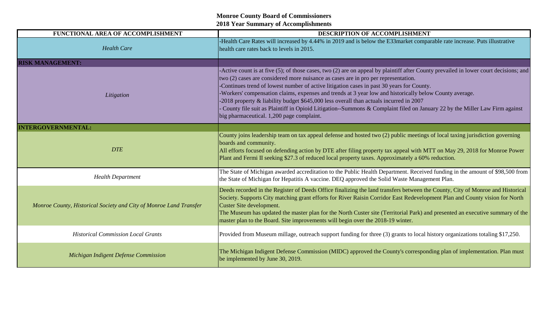# **Monroe County Board of Commissioners**

**2018 Year Summary of Accomplishments**

| FUNCTIONAL AREA OF ACCOMPLISHMENT                                  | DESCRIPTION OF ACCOMPLISHMENT                                                                                                                                                                                                                                                                                                                                                                                                                                                                                                                                                                                                                                                                            |
|--------------------------------------------------------------------|----------------------------------------------------------------------------------------------------------------------------------------------------------------------------------------------------------------------------------------------------------------------------------------------------------------------------------------------------------------------------------------------------------------------------------------------------------------------------------------------------------------------------------------------------------------------------------------------------------------------------------------------------------------------------------------------------------|
| <b>Health Care</b>                                                 | -Health Care Rates will increased by 4.44% in 2019 and is below the E33market comparable rate increase. Puts illustrative<br>health care rates back to levels in 2015.                                                                                                                                                                                                                                                                                                                                                                                                                                                                                                                                   |
| <b>RISK MANAGEMENT:</b>                                            |                                                                                                                                                                                                                                                                                                                                                                                                                                                                                                                                                                                                                                                                                                          |
| Litigation                                                         | -Active count is at five (5); of those cases, two (2) are on appeal by plaintiff after County prevailed in lower court decisions; and<br>two (2) cases are considered more nuisance as cases are in pro per representation.<br>-Continues trend of lowest number of active litigation cases in past 30 years for County.<br>-Workers' compensation claims, expenses and trends at 3 year low and historically below County average.<br>-2018 property & liability budget \$645,000 less overall than actuals incurred in 2007<br>County file suit as Plaintiff in Opioid Litigation--Summons & Complaint filed on January 22 by the Miller Law Firm against<br>big pharmaceutical. 1,200 page complaint. |
| <b>INTERGOVERNMENTAL:</b>                                          |                                                                                                                                                                                                                                                                                                                                                                                                                                                                                                                                                                                                                                                                                                          |
| <b>DTE</b>                                                         | County joins leadership team on tax appeal defense and hosted two (2) public meetings of local taxing jurisdiction governing<br>boards and community.<br>All efforts focused on defending action by DTE after filing property tax appeal with MTT on May 29, 2018 for Monroe Power<br>Plant and Fermi II seeking \$27.3 of reduced local property taxes. Approximately a 60% reduction.                                                                                                                                                                                                                                                                                                                  |
| <b>Health Department</b>                                           | The State of Michigan awarded accreditation to the Public Health Department. Received funding in the amount of \$98,500 from<br>the State of Michigan for Hepatitis A vaccine. DEQ approved the Solid Waste Management Plan.                                                                                                                                                                                                                                                                                                                                                                                                                                                                             |
| Monroe County, Historical Society and City of Monroe Land Transfer | Deeds recorded in the Register of Deeds Office finalizing the land transfers between the County, City of Monroe and Historical<br>Society. Supports City matching grant efforts for River Raisin Corridor East Redevelopment Plan and County vision for North<br>Custer Site development.<br>The Museum has updated the master plan for the North Custer site (Territorial Park) and presented an executive summary of the<br>master plan to the Board. Site improvements will begin over the 2018-19 winter.                                                                                                                                                                                            |
| <b>Historical Commission Local Grants</b>                          | Provided from Museum millage, outreach support funding for three (3) grants to local history organizations totaling \$17,250.                                                                                                                                                                                                                                                                                                                                                                                                                                                                                                                                                                            |
| Michigan Indigent Defense Commission                               | The Michigan Indigent Defense Commission (MIDC) approved the County's corresponding plan of implementation. Plan must<br>be implemented by June 30, 2019.                                                                                                                                                                                                                                                                                                                                                                                                                                                                                                                                                |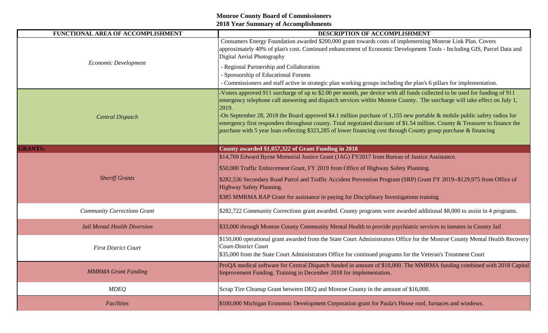| FUNCTIONAL AREA OF ACCOMPLISHMENT  | DESCRIPTION OF ACCOMPLISHMENT                                                                                                                                                                                                                                                                                                                                                                                                                                                                                                                                                                                                                      |
|------------------------------------|----------------------------------------------------------------------------------------------------------------------------------------------------------------------------------------------------------------------------------------------------------------------------------------------------------------------------------------------------------------------------------------------------------------------------------------------------------------------------------------------------------------------------------------------------------------------------------------------------------------------------------------------------|
| Economic Development               | Consumers Energy Foundation awarded \$200,000 grant towards costs of implementing Monroe Link Plan. Covers<br>approximately 40% of plan's cost. Continued enhancement of Economic Development Tools - Including GIS, Parcel Data and<br>Digital Aerial Photography                                                                                                                                                                                                                                                                                                                                                                                 |
|                                    | - Regional Partnership and Collaboration<br>- Sponsorship of Educational Forums<br>- Commissioners and staff active in strategic plan working groups including the plan's 6 pillars for implementation.                                                                                                                                                                                                                                                                                                                                                                                                                                            |
| <b>Central Dispatch</b>            | Voters approved 911 surcharge of up to \$2.00 per month, per device with all funds collected to be used for funding of 911<br>emergency telephone call answering and dispatch services within Monroe County. The surcharge will take effect on July 1,<br>2019.<br>-On September 28, 2018 the Board approved \$4.1 million purchase of 1,155 new portable $\&$ mobile public safety radios for<br>emergency first responders throughout county. Total negotiated discount of \$1.54 million. County & Treasurer to finance the<br>purchase with 5 year loan reflecting \$323,285 of lower financing cost through County group purchase & financing |
| <b>GRANTS:</b>                     | County awarded \$1,057,322 of Grant Funding in 2018                                                                                                                                                                                                                                                                                                                                                                                                                                                                                                                                                                                                |
| <b>Sheriff Grants</b>              | \$14,769 Edward Byrne Memorial Justice Grant (JAG) FY2017 from Bureau of Justice Assistance.<br>\$50,000 Traffic Enforcement Grant, FY 2019 from Office of Highway Safety Planning.<br>\$282,536 Secondary Road Patrol and Traffic Accident Prevention Program (SRP) Grant FY 2019--\$129,975 from Office of<br>Highway Safety Planning.<br>\$385 MMRMA RAP Grant for assistance in paying for Disciplinary Investigations training                                                                                                                                                                                                                |
| <b>Community Corrections Grant</b> | \$282,722 Community Corrections grant awarded. County programs were awarded additional \$8,000 to assist in 4 programs.                                                                                                                                                                                                                                                                                                                                                                                                                                                                                                                            |
| Jail Mental Health Diversion       | \$33,000 through Monroe County Community Mental Health to provide psychiatric services to inmates in County Jail                                                                                                                                                                                                                                                                                                                                                                                                                                                                                                                                   |
| <b>First District Court</b>        | \$150,000 operational grant awarded from the State Court Administrators Office for the Monroe County Mental Health Recovery<br><b>Court-District Court</b><br>\$35,000 from the State Court Administrators Office for continued programs for the Veteran's Treatment Court                                                                                                                                                                                                                                                                                                                                                                         |
| <b>MMRMA</b> Grant Funding         | ProQA medical software for Central Dispatch funded in amount of \$10,000. The MMRMA funding combined with 2018 Capital<br>Improvement Funding. Training in December 2018 for implementation.                                                                                                                                                                                                                                                                                                                                                                                                                                                       |
| <b>MDEQ</b>                        | Scrap Tire Cleanup Grant between DEQ and Monroe County in the amount of \$16,000.                                                                                                                                                                                                                                                                                                                                                                                                                                                                                                                                                                  |
| <b>Facilities</b>                  | \$100,000 Michigan Economic Development Corporation grant for Paula's House roof, furnaces and windows.                                                                                                                                                                                                                                                                                                                                                                                                                                                                                                                                            |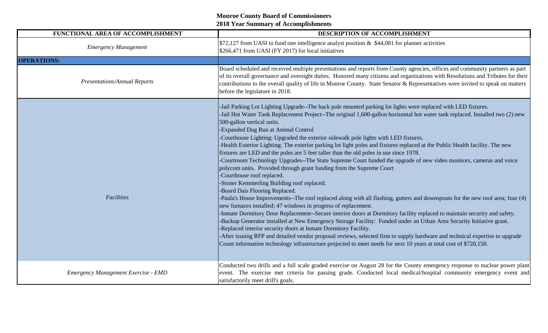| FUNCTIONAL AREA OF ACCOMPLISHMENT   | DESCRIPTION OF ACCOMPLISHMENT                                                                                                                                                                                                                                                                                                                                                                                                                                                                                                                                                                                                                                                                                                                                                                                                                                                                                                                                                                                                                                                                                                                                                                                                                                                                                                                                                                                                                                                                                                                                                                                                                                                                                                      |
|-------------------------------------|------------------------------------------------------------------------------------------------------------------------------------------------------------------------------------------------------------------------------------------------------------------------------------------------------------------------------------------------------------------------------------------------------------------------------------------------------------------------------------------------------------------------------------------------------------------------------------------------------------------------------------------------------------------------------------------------------------------------------------------------------------------------------------------------------------------------------------------------------------------------------------------------------------------------------------------------------------------------------------------------------------------------------------------------------------------------------------------------------------------------------------------------------------------------------------------------------------------------------------------------------------------------------------------------------------------------------------------------------------------------------------------------------------------------------------------------------------------------------------------------------------------------------------------------------------------------------------------------------------------------------------------------------------------------------------------------------------------------------------|
| <b>Emergency Management</b>         | $\frac{1572,127}{2}$ from UASI to fund one intelligence analyst position & \$44,081 for planner activities<br>\$266,471 from UASI (FY 2017) for local initiatives                                                                                                                                                                                                                                                                                                                                                                                                                                                                                                                                                                                                                                                                                                                                                                                                                                                                                                                                                                                                                                                                                                                                                                                                                                                                                                                                                                                                                                                                                                                                                                  |
| <b>OPERATIONS:</b>                  |                                                                                                                                                                                                                                                                                                                                                                                                                                                                                                                                                                                                                                                                                                                                                                                                                                                                                                                                                                                                                                                                                                                                                                                                                                                                                                                                                                                                                                                                                                                                                                                                                                                                                                                                    |
| <b>Presentations/Annual Reports</b> | Board scheduled and received multiple presentations and reports from County agencies, offices and community partners as part<br>of its overall governance and oversight duties. Honored many citizens and organizations with Resolutions and Tributes for their<br>contributions to the overall quality of life in Monroe County. State Senator & Representatives were invited to speak on matters<br>before the legislature in 2018.                                                                                                                                                                                                                                                                                                                                                                                                                                                                                                                                                                                                                                                                                                                                                                                                                                                                                                                                                                                                                                                                                                                                                                                                                                                                                              |
| Facilities                          | -Jail Parking Lot Lighting Upgrade--The back pole mounted parking lot lights were replaced with LED fixtures.<br>-Jail Hot Water Tank Replacement Project--The original 1,600-gallon horizontal hot water tank replaced. Installed two (2) new<br>500-gallon vertical units.<br>-Expanded Dog Run at Animal Control<br>-Courthouse Lighting: Upgraded the exterior sidewalk pole lights with LED fixtures.<br>-Health Exterior Lighting: The exterior parking lot light poles and fixtures replaced at the Public Health facility. The new<br>fixtures are LED and the poles are 5 feet taller than the old poles in use since 1978.<br>-Courtroom Technology Upgrades--The State Supreme Court funded the upgrade of new video monitors, cameras and voice<br>polycom units. Provided through grant funding from the Supreme Court<br>-Courthouse roof replaced.<br>-Stoner Kemmerling Building roof replaced.<br>-Board Dais Flooring Replaced.<br>-Paula's House Improvements--The roof replaced along with all flashing, gutters and downspouts for the new roof area; four (4)<br>new furnaces installed; 47 windows in progress of replacement.<br>-Inmate Dormitory Door Replacement--Secure interior doors at Dormitory facility replaced to maintain security and safety.<br>-Backup Generator installed at New Emergency Storage Facility: Funded under an Urban Area Security Initiative grant.<br>-Replaced interior security doors at Inmate Dormitory Facility.<br>-After issuing RFP and detailed vendor proposal reviews, selected firm to supply hardware and technical expertise to upgrade<br>Count information technology infrastructure projected to meet needs for next 10 years at total cost of \$720,150. |
| Emergency Management Exercise - EMD | Conducted two drills and a full scale graded exercise on August 28 for the County emergency response to nuclear power plant<br>event. The exercise met criteria for passing grade. Conducted local medical/hospital community emergency event and<br>satisfactorily meet drill's goals.                                                                                                                                                                                                                                                                                                                                                                                                                                                                                                                                                                                                                                                                                                                                                                                                                                                                                                                                                                                                                                                                                                                                                                                                                                                                                                                                                                                                                                            |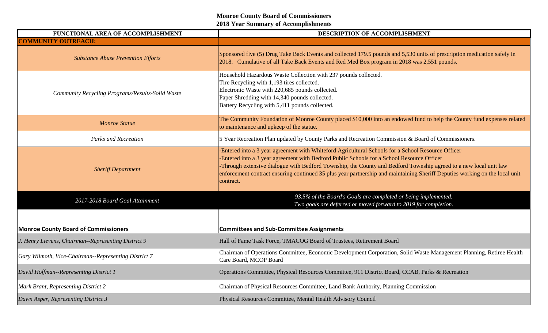| FUNCTIONAL AREA OF ACCOMPLISHMENT                    | DESCRIPTION OF ACCOMPLISHMENT                                                                                                                                                                                                                                                                                                                                                                                                                                     |
|------------------------------------------------------|-------------------------------------------------------------------------------------------------------------------------------------------------------------------------------------------------------------------------------------------------------------------------------------------------------------------------------------------------------------------------------------------------------------------------------------------------------------------|
| <b>COMMUNITY OUTREACH:</b>                           |                                                                                                                                                                                                                                                                                                                                                                                                                                                                   |
| <b>Substance Abuse Prevention Efforts</b>            | Sponsored five (5) Drug Take Back Events and collected 179.5 pounds and 5,530 units of prescription medication safely in<br>2018. Cumulative of all Take Back Events and Red Med Box program in 2018 was 2,551 pounds.                                                                                                                                                                                                                                            |
| Community Recycling Programs/Results-Solid Waste     | Household Hazardous Waste Collection with 237 pounds collected.<br>Tire Recycling with 1,193 tires collected.<br>Electronic Waste with 220,685 pounds collected.<br>Paper Shredding with 14,340 pounds collected.<br>Battery Recycling with 5,411 pounds collected.                                                                                                                                                                                               |
| <b>Monroe Statue</b>                                 | The Community Foundation of Monroe County placed \$10,000 into an endowed fund to help the County fund expenses related<br>to maintenance and upkeep of the statue.                                                                                                                                                                                                                                                                                               |
| <b>Parks and Recreation</b>                          | 5 Year Recreation Plan updated by County Parks and Recreation Commission & Board of Commissioners.                                                                                                                                                                                                                                                                                                                                                                |
| <b>Sheriff Department</b>                            | -Entered into a 3 year agreement with Whiteford Agricultural Schools for a School Resource Officer<br>-Entered into a 3 year agreement with Bedford Public Schools for a School Resource Officer<br>-Through extensive dialogue with Bedford Township, the County and Bedford Township agreed to a new local unit law<br>enforcement contract ensuring continued 35 plus year partnership and maintaining Sheriff Deputies working on the local unit<br>contract. |
| 2017-2018 Board Goal Attainment                      | 93.5% of the Board's Goals are completed or being implemented.<br>Two goals are deferred or moved forward to 2019 for completion.                                                                                                                                                                                                                                                                                                                                 |
| <b>Monroe County Board of Commissioners</b>          | <b>Committees and Sub-Committee Assignments</b>                                                                                                                                                                                                                                                                                                                                                                                                                   |
| J. Henry Lievens, Chairman--Representing District 9  | Hall of Fame Task Force, TMACOG Board of Trustees, Retirement Board                                                                                                                                                                                                                                                                                                                                                                                               |
| Gary Wilmoth, Vice-Chairman--Representing District 7 | Chairman of Operations Committee, Economic Development Corporation, Solid Waste Management Planning, Retiree Health<br>Care Board, MCOP Board                                                                                                                                                                                                                                                                                                                     |
| David Hoffman--Representing District 1               | Operations Committee, Physical Resources Committee, 911 District Board, CCAB, Parks & Recreation                                                                                                                                                                                                                                                                                                                                                                  |
| Mark Brant, Representing District 2                  | Chairman of Physical Resources Committee, Land Bank Authority, Planning Commission                                                                                                                                                                                                                                                                                                                                                                                |
| Dawn Asper, Representing District 3                  | Physical Resources Committee, Mental Health Advisory Council                                                                                                                                                                                                                                                                                                                                                                                                      |